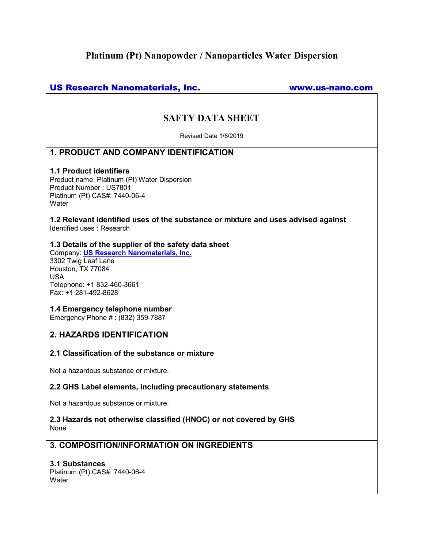# **Platinum (Pt) Nanopowder / Nanoparticles Water Dispersion**

# US Research Nanomaterials, Inc. www.us-nano.com

# **SAFTY DATA SHEET**

Revised Date 1/8/2019

# **1. PRODUCT AND COOPANY IDENTIFICATION**

#### **1.1 Product identifiers**

Product name: Platinum (Pt) Water Dispersion Product Number : US7801 Platinum (Pt) CAS#: 7440-06-4 **Water** 

**1.2 Relevant identified uses of the substance or mixture and uses advised against**  Identified uses : Research

### **1.3 Details of the supplier of the safety data sheet**

Company: **US Research Nanomaterials, Inc.** 3302 Twig Leaf Lane Houston, TX 77084 USA Telephone: +1 832-460-3661 Fax: +1 281-492-8628

### **1.4 Emergency telephone number**

Emergency Phone # : (832) 359-7887

# **2. HAZARDS IDENTIFICATION**

### **2.1 Classification of the substance or mixture**

Not a hazardous substance or mixture.

### **2.2 GHS Label elements, including precautionary statements**

Not a hazardous substance or mixture.

## **2.3 Hazards not otherwise classified (HNOC) or not covered by GHS**  None

# **3. COMPOSITION/INFORMATION ON INGREDIENTS**

### **3.1 Substances**

Platinum (Pt) CAS#: 7440-06-4 **Water**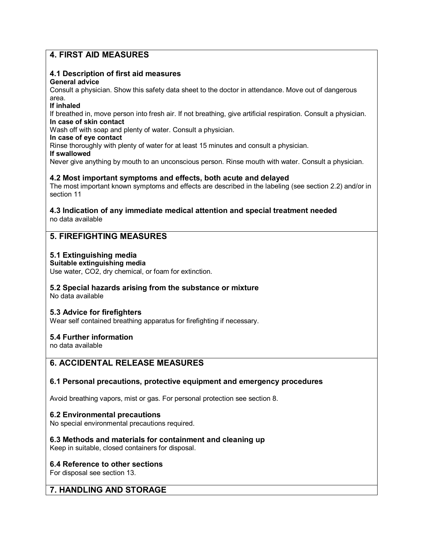# **4. FIRST AID MEASURES**

# **4.1 Description of first aid measures**

### **General advice**

Consult a physician. Show this safety data sheet to the doctor in attendance. Move out of dangerous area.

### **If inhaled**

If breathed in, move person into fresh air. If not breathing, give artificial respiration. Consult a physician. **In case of skin contact** 

Wash off with soap and plenty of water. Consult a physician.

### **In case of eye contact**

Rinse thoroughly with plenty of water for at least 15 minutes and consult a physician.

# **If swallowed**

Never give anything by mouth to an unconscious person. Rinse mouth with water. Consult a physician.

# **4.2 Oost important symptoms and effects, both acute and delayed**

The most important known symptoms and effects are described in the labeling (see section 2.2) and/or in section 11

### **4.3 Indication of any immediate medical attention and special treatment needed**  no data available

# **5. FIREFIGHTING MEASURES**

# **5.1 Extinguishing media**

## **Suitable extinguishing media**

Use water, CO2, dry chemical, or foam for extinction.

# **5.2 Special hazards arising from the substance or mixture**

No data available

# **5.3 Advice for firefighters**

Wear self contained breathing apparatus for firefighting if necessary.

# **5.4 Further information**

no data available

# **6. ACCIDENTAL RELEASE MEASURES**

# **6.1 Personal precautions, protective equipment and emergency procedures**

Avoid breathing vapors, mist or gas. For personal protection see section 8.

# **6.2 Environmental precautions**

No special environmental precautions required.

# **6.3 Methods and materials for containment and cleaning up**

Keep in suitable, closed containers for disposal.

# **6.4 Reference to other sections**

For disposal see section 13.

# **7. HANDLING AND STORAGE**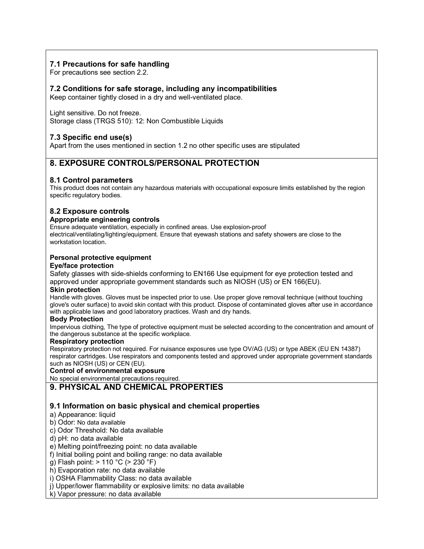# **7.1 Precautions for safe handling**

For precautions see section 2.2.

## **7.2 Conditions for safe storage, including any incompatibilities**

Keep container tightly closed in a dry and well-ventilated place.

Light sensitive. Do not freeze. Storage class (TRGS 510): 12: Non Combustible Liquids

# **7.3 Specific end use(s)**

Apart from the uses mentioned in section 1.2 no other specific uses are stipulated

# **8. EXPOSURE CONTROLS/PERSONAL PROTECTION**

# **8.1 Control parameters**

This product does not contain any hazardous materials with occupational exposure limits established by the region specific regulatory bodies.

## **8.2 Exposure controls**

#### **Appropriate engineering controls**

Ensure adequate ventilation, especially in confined areas. Use explosion-proof

electrical/ventilating/lighting/equipment. Ensure that eyewash stations and safety showers are close to the workstation location.

#### **Personal protective equipment**

#### **Eye/face protection**

Safety glasses with side-shields conforming to EN166 Use equipment for eye protection tested and approved under appropriate government standards such as NIOSH (US) or EN 166(EU).

#### **Skin protection**

Handle with gloves. Gloves must be inspected prior to use. Use proper glove removal technique (without touching glove's outer surface) to avoid skin contact with this product. Dispose of contaminated gloves after use in accordance with applicable laws and good laboratory practices. Wash and dry hands.

#### **Body Protection**

Impervious clothing, The type of protective equipment must be selected according to the concentration and amount of the dangerous substance at the specific workplace.

#### **Respiratory protection**

Respiratory protection not required. For nuisance exposures use type OV/AG (US) or type ABEK (EU EN 14387) respirator cartridges. Use respirators and components tested and approved under appropriate government standards such as NIOSH (US) or CEN (EU).

#### **Control of environmental exposure**

No special environmental precautions required.

**9. PHYSICAL AND CHEMICAL PROPERTIES** 

# **9.1 Information on basic physical and chemical properties**

### a) Appearance: liquid

b) Odor: No data available

- c) Odor Threshold: No data available
- d) pH: no data available

#### e) Melting point/freezing point: no data available

- f) Initial boiling point and boiling range: no data available
- g) Flash point: > 110 °C (> 230 °F)

h) Evaporation rate: no data available

i) OSHA Flammability Class: no data available

j) Upper/lower flammability or explosive limits: no data available

k) Vapor pressure: no data available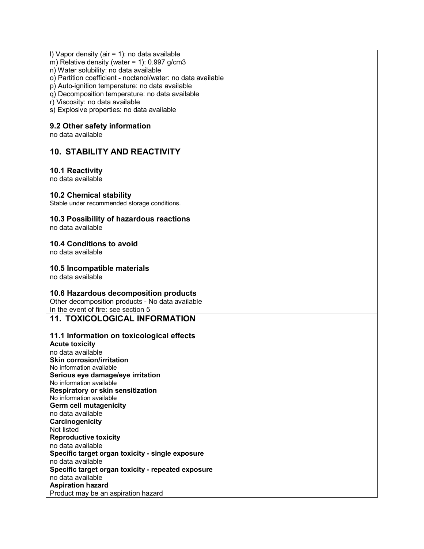### l) Vapor density (air = 1): no data available

m) Relative density (water = 1):  $0.997$  g/cm3

n) Water solubility: no data available

o) Partition coefficient - noctanol/water: no data available

p) Auto-ignition temperature: no data available

q) Decomposition temperature: no data available

r) Viscosity: no data available

s) Explosive properties: no data available

## **9.2 Other safety information**

no data available

# **10. STABILITY AND REACTIVITY**

## **10.1 Reactivity**

no data available

## **10.2 Chemical stability**

Stable under recommended storage conditions.

# **10.3 Possibility of hazardous reactions**

no data available

### **10.4 Conditions to avoid**

no data available

### **10.5 Incompatible materials**

no data available

# **10.6 Hazardous decomposition products**

Other decomposition products - No data available In the event of fire: see section 5

# **11. TOXICOLOGICAL INFORMATION**

# **11.1 Information on toxicological effects**

**Acute toxicity**  no data available **Skin corrosion/irritation**  No information available **Serious eye damage/eye irritation**  No information available **Respiratory or skin sensitization**  No information available **Germ cell mutagenicity**  no data available **Carcinogenicity**  Not listed **Reproductive toxicity**  no data available **Specific target organ toxicity - single exposure**  no data available **Specific target organ toxicity - repeated exposure**  no data available **Aspiration hazard**  Product may be an aspiration hazard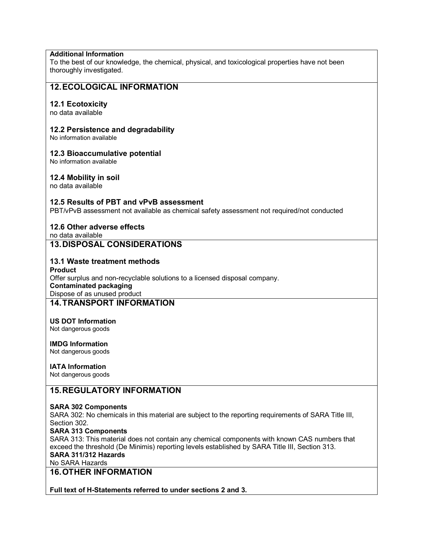## **Additional Information**

To the best of our knowledge, the chemical, physical, and toxicological properties have not been thoroughly investigated.

# **12. ECOLOGICAL INFORMATION**

### **12.1 Ecotoxicity**

no data available

### **12.2 Persistence and degradability**

No information available

#### **12.3 Bioaccumulative potential**

No information available

### **12.4 Mobility in soil**

no data available

## **12.5 Results of PBT and vPvB assessment**

PBT/vPvB assessment not available as chemical safety assessment not required/not conducted

## **12.6 Other adverse effects**

no data available **13.DISPOSAL CONSIDERATIONS**

#### **13.1 Waste treatment methods**

**Product**  Offer surplus and non-recyclable solutions to a licensed disposal company. **Contaminated packaging**  Dispose of as unused product **14. TRANSPORT INFORMATION** 

#### **US DOT Information**  Not dangerous goods

#### **IMDG Information** Not dangerous goods

## **IATA Information**

Not dangerous goods

# **15. REGULATORY INFORMATION**

#### **SARA 302 Components**

SARA 302: No chemicals in this material are subject to the reporting requirements of SARA Title III, Section 302.

#### **SARA 313 Components**

SARA 313: This material does not contain any chemical components with known CAS numbers that exceed the threshold (De Minimis) reporting levels established by SARA Title III, Section 313. **SARA 311/312 Hazards** 

No SARA Hazards

# **16. OTHER INFORMATION**

**Full text of H-Statements referred to under sections 2 and 3.**